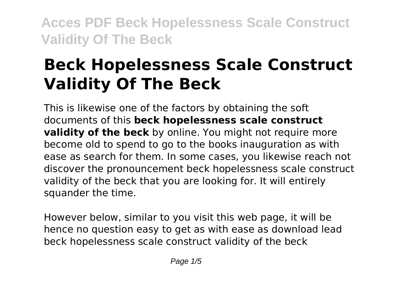# **Beck Hopelessness Scale Construct Validity Of The Beck**

This is likewise one of the factors by obtaining the soft documents of this **beck hopelessness scale construct validity of the beck** by online. You might not require more become old to spend to go to the books inauguration as with ease as search for them. In some cases, you likewise reach not discover the pronouncement beck hopelessness scale construct validity of the beck that you are looking for. It will entirely squander the time.

However below, similar to you visit this web page, it will be hence no question easy to get as with ease as download lead beck hopelessness scale construct validity of the beck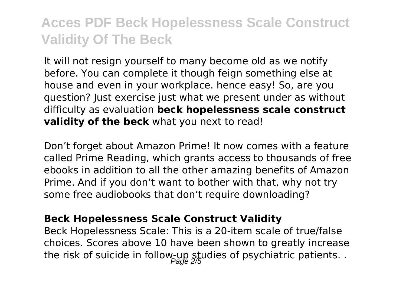It will not resign yourself to many become old as we notify before. You can complete it though feign something else at house and even in your workplace. hence easy! So, are you question? Just exercise just what we present under as without difficulty as evaluation **beck hopelessness scale construct validity of the beck** what you next to read!

Don't forget about Amazon Prime! It now comes with a feature called Prime Reading, which grants access to thousands of free ebooks in addition to all the other amazing benefits of Amazon Prime. And if you don't want to bother with that, why not try some free audiobooks that don't require downloading?

#### **Beck Hopelessness Scale Construct Validity**

Beck Hopelessness Scale: This is a 20-item scale of true/false choices. Scores above 10 have been shown to greatly increase the risk of suicide in follow-up studies of psychiatric patients. .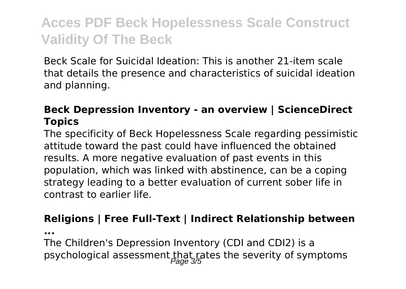Beck Scale for Suicidal Ideation: This is another 21-item scale that details the presence and characteristics of suicidal ideation and planning.

### **Beck Depression Inventory - an overview | ScienceDirect Topics**

The specificity of Beck Hopelessness Scale regarding pessimistic attitude toward the past could have influenced the obtained results. A more negative evaluation of past events in this population, which was linked with abstinence, can be a coping strategy leading to a better evaluation of current sober life in contrast to earlier life.

#### **Religions | Free Full-Text | Indirect Relationship between**

**...**

The Children's Depression Inventory (CDI and CDI2) is a psychological assessment that rates the severity of symptoms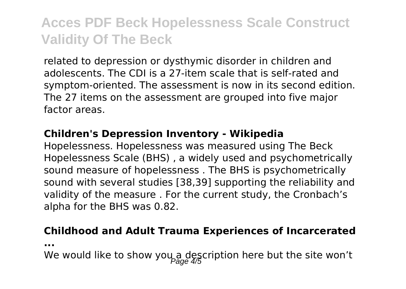related to depression or dysthymic disorder in children and adolescents. The CDI is a 27-item scale that is self-rated and symptom-oriented. The assessment is now in its second edition. The 27 items on the assessment are grouped into five major factor areas.

#### **Children's Depression Inventory - Wikipedia**

Hopelessness. Hopelessness was measured using The Beck Hopelessness Scale (BHS) , a widely used and psychometrically sound measure of hopelessness . The BHS is psychometrically sound with several studies [38,39] supporting the reliability and validity of the measure . For the current study, the Cronbach's alpha for the BHS was 0.82.

#### **Childhood and Adult Trauma Experiences of Incarcerated**

**...**

We would like to show you a description here but the site won't